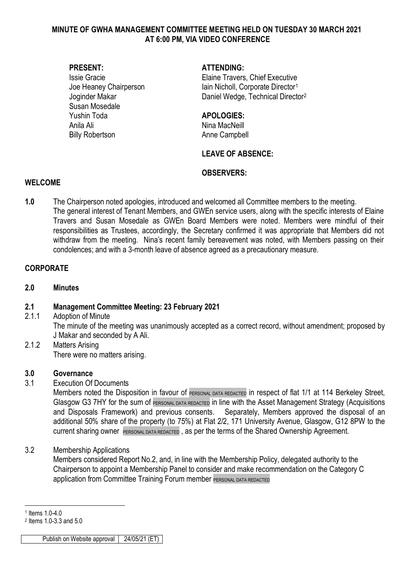#### **MINUTE OF GWHA MANAGEMENT COMMITTEE MEETING HELD ON TUESDAY 30 MARCH 2021 AT 6:00 PM, VIA VIDEO CONFERENCE**

Susan Mosedale Yushin Toda **APOLOGIES:** Anila Ali **Nina MacNeill** Billy Robertson **Anne Campbell** 

#### **PRESENT: ATTENDING:**

Issie Gracie Elaine Travers, Chief Executive Joe Heaney Chairperson Iain Nicholl, Corporate Director<sup>[1](#page-0-0)</sup> Joginder Makar National Daniel Wedge, Technical Director<sup>[2](#page-0-1)</sup>

### **LEAVE OF ABSENCE:**

#### **OBSERVERS:**

#### **WELCOME**

**1.0** The Chairperson noted apologies, introduced and welcomed all Committee members to the meeting. The general interest of Tenant Members, and GWEn service users, along with the specific interests of Elaine Travers and Susan Mosedale as GWEn Board Members were noted. Members were mindful of their responsibilities as Trustees, accordingly, the Secretary confirmed it was appropriate that Members did not withdraw from the meeting. Nina's recent family bereavement was noted, with Members passing on their condolences; and with a 3-month leave of absence agreed as a precautionary measure.

### **CORPORATE**

#### **2.0 Minutes**

### **2.1 Management Committee Meeting: 23 February 2021**

- 2.1.1 Adoption of Minute The minute of the meeting was unanimously accepted as a correct record, without amendment; proposed by J Makar and seconded by A Ali.
- 2.1.2 Matters Arising There were no matters arising.

#### **3.0 Governance**

3.1 Execution Of Documents

Members noted the Disposition in favour of PERSONAL DATA REDACTED in respect of flat 1/1 at 114 Berkeley Street, Glasgow G3 7HY for the sum of PERSONAL DATA REDACTED in line with the Asset Management Strategy (Acquisitions and Disposals Framework) and previous consents. Separately, Members approved the disposal of an additional 50% share of the property (to 75%) at Flat 2/2, 171 University Avenue, Glasgow, G12 8PW to the current sharing owner PERSONAL DATA REDACTED, as per the terms of the Shared Ownership Agreement.

### 3.2 Membership Applications

Members considered Report No.2, and, in line with the Membership Policy, delegated authority to the Chairperson to appoint a Membership Panel to consider and make recommendation on the Category C application from Committee Training Forum member PERSONAL DATA REDACTED

Publish on Website approval 24/05/21 (ET)

<span id="page-0-0"></span><sup>-</sup><sup>1</sup> Items 1.0-4.0

<span id="page-0-1"></span><sup>2</sup> Items 1.0-3.3 and 5.0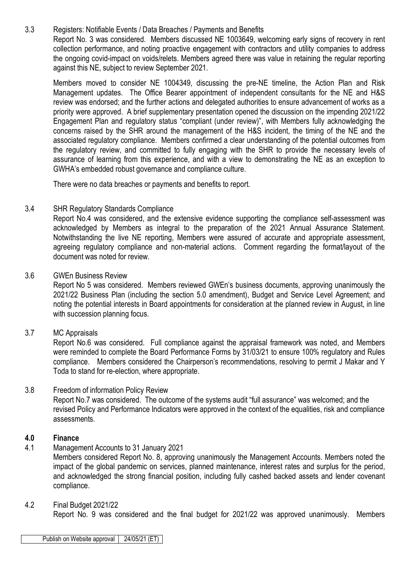3.3 Registers: Notifiable Events / Data Breaches / Payments and Benefits Report No. 3 was considered. Members discussed NE 1003649, welcoming early signs of recovery in rent collection performance, and noting proactive engagement with contractors and utility companies to address the ongoing covid-impact on voids/relets. Members agreed there was value in retaining the regular reporting against this NE, subject to review September 2021.

Members moved to consider NE 1004349, discussing the pre-NE timeline, the Action Plan and Risk Management updates. The Office Bearer appointment of independent consultants for the NE and H&S review was endorsed; and the further actions and delegated authorities to ensure advancement of works as a priority were approved. A brief supplementary presentation opened the discussion on the impending 2021/22 Engagement Plan and regulatory status "compliant (under review)", with Members fully acknowledging the concerns raised by the SHR around the management of the H&S incident, the timing of the NE and the associated regulatory compliance. Members confirmed a clear understanding of the potential outcomes from the regulatory review, and committed to fully engaging with the SHR to provide the necessary levels of assurance of learning from this experience, and with a view to demonstrating the NE as an exception to GWHA's embedded robust governance and compliance culture.

There were no data breaches or payments and benefits to report.

### 3.4 SHR Regulatory Standards Compliance

Report No.4 was considered, and the extensive evidence supporting the compliance self-assessment was acknowledged by Members as integral to the preparation of the 2021 Annual Assurance Statement. Notwithstanding the live NE reporting, Members were assured of accurate and appropriate assessment, agreeing regulatory compliance and non-material actions. Comment regarding the format/layout of the document was noted for review.

#### 3.6 GWEn Business Review

Report No 5 was considered. Members reviewed GWEn's business documents, approving unanimously the 2021/22 Business Plan (including the section 5.0 amendment), Budget and Service Level Agreement; and noting the potential interests in Board appointments for consideration at the planned review in August, in line with succession planning focus.

### 3.7 MC Appraisals

Report No.6 was considered. Full compliance against the appraisal framework was noted, and Members were reminded to complete the Board Performance Forms by 31/03/21 to ensure 100% regulatory and Rules compliance. Members considered the Chairperson's recommendations, resolving to permit J Makar and Y Toda to stand for re-election, where appropriate.

#### 3.8 Freedom of information Policy Review

Report No.7 was considered. The outcome of the systems audit "full assurance" was welcomed; and the revised Policy and Performance Indicators were approved in the context of the equalities, risk and compliance assessments.

#### **4.0 Finance**

4.1 Management Accounts to 31 January 2021

Members considered Report No. 8, approving unanimously the Management Accounts. Members noted the impact of the global pandemic on services, planned maintenance, interest rates and surplus for the period, and acknowledged the strong financial position, including fully cashed backed assets and lender covenant compliance.

4.2 Final Budget 2021/22

Report No. 9 was considered and the final budget for 2021/22 was approved unanimously. Members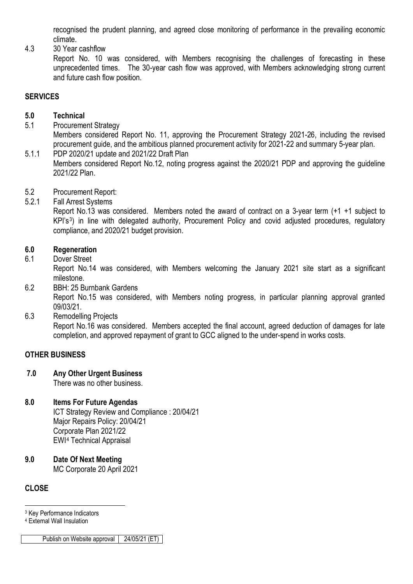recognised the prudent planning, and agreed close monitoring of performance in the prevailing economic climate.

4.3 30 Year cashflow

Report No. 10 was considered, with Members recognising the challenges of forecasting in these unprecedented times. The 30-year cash flow was approved, with Members acknowledging strong current and future cash flow position.

# **SERVICES**

## **5.0 Technical**

- 5.1 Procurement Strategy Members considered Report No. 11, approving the Procurement Strategy 2021-26, including the revised procurement guide, and the ambitious planned procurement activity for 2021-22 and summary 5-year plan.
- 5.1.1 PDP 2020/21 update and 2021/22 Draft Plan Members considered Report No.12, noting progress against the 2020/21 PDP and approving the guideline 2021/22 Plan.
- 5.2 Procurement Report:<br>5.2.1 Fall Arrest Systems
- **Fall Arrest Systems**

Report No.13 was considered. Members noted the award of contract on a 3-year term (+1 +1 subject to KPI's<sup>3</sup>) in line with delegated authority, Procurement Policy and covid adjusted procedures, regulatory compliance, and 2020/21 budget provision.

# **6.0 Regeneration**

6.1 Dover Street

Report No.14 was considered, with Members welcoming the January 2021 site start as a significant milestone.

6.2 BBH: 25 Burnbank Gardens

Report No.15 was considered, with Members noting progress, in particular planning approval granted 09/03/21.

6.3 Remodelling Projects

Report No.16 was considered. Members accepted the final account, agreed deduction of damages for late completion, and approved repayment of grant to GCC aligned to the under-spend in works costs.

# **OTHER BUSINESS**

**7.0 Any Other Urgent Business**

There was no other business.

# **8.0 Items For Future Agendas**

ICT Strategy Review and Compliance : 20/04/21 Major Repairs Policy: 20/04/21 Corporate Plan 2021/22 EWI[4](#page-2-1) Technical Appraisal

**9.0 Date Of Next Meeting** MC Corporate 20 April 2021

# **CLOSE**

-<sup>3</sup> Key Performance Indicators

<span id="page-2-1"></span><span id="page-2-0"></span><sup>4</sup> External Wall Insulation

Publish on Website approval 24/05/21 (ET)